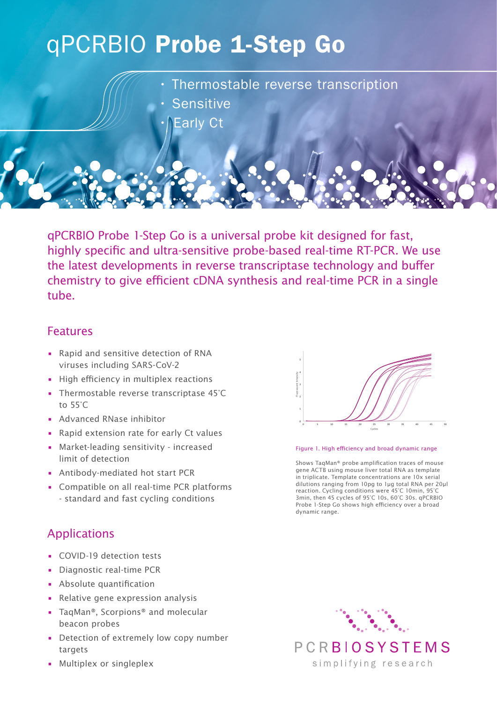# qPCRBIO Probe 1-Step Go

• Thermostable reverse transcription

- **Sensitive** 
	- **Early Ct**

qPCRBIO Probe 1-Step Go is a universal probe kit designed for fast, highly specific and ultra-sensitive probe-based real-time RT-PCR. We use the latest developments in reverse transcriptase technology and buffer chemistry to give efficient cDNA synthesis and real-time PCR in a single tube.

## Features

- Rapid and sensitive detection of RNA viruses including SARS-CoV-2
- High efficiency in multiplex reactions
- Thermostable reverse transcriptase 45°C to 55°C
- Advanced RNase inhibitor
- Rapid extension rate for early Ct values
- Market-leading sensitivity increased limit of detection
- Antibody-mediated hot start PCR
- Compatible on all real-time PCR platforms - standard and fast cycling conditions

## Applications

- COVID-19 detection tests
- Diagnostic real-time PCR
- Absolute quantification
- Relative gene expression analysis
- TaqMan®, Scorpions® and molecular beacon probes
- Detection of extremely low copy number targets
- Multiplex or singleplex



#### Figure 1. High efficiency and broad dynamic range

Shows TaqMan® probe amplification traces of mouse gene ACTB using mouse liver total RNA as template in triplicate. Template concentrations are 10x serial dilutions ranging from 10pg to 1µg total RNA per 20µl reaction. Cycling conditions were 45°C 10min, 95°C 3min, then 45 cycles of 95°C 10s, 60°C 30s. qPCRBIO Probe 1-Step Go shows high efficiency over a broad dynamic range.